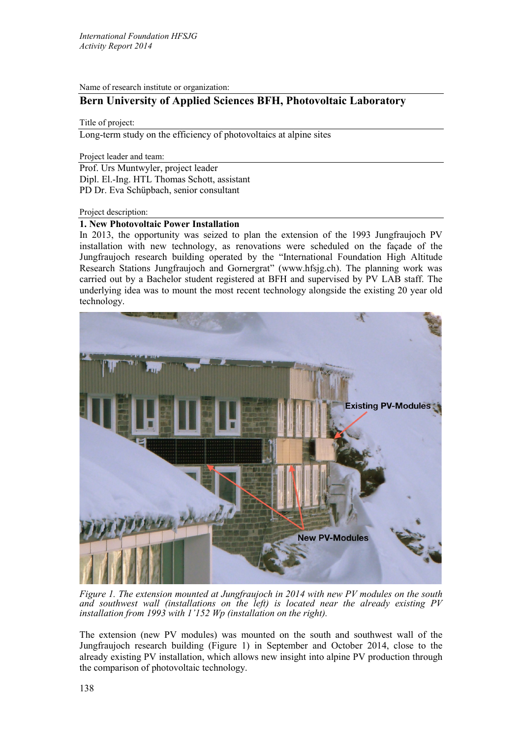Name of research institute or organization:

# **Bern University of Applied Sciences BFH, Photovoltaic Laboratory**

Title of project:

Long-term study on the efficiency of photovoltaics at alpine sites

Project leader and team:

Prof. Urs Muntwyler, project leader Dipl. El.-Ing. HTL Thomas Schott, assistant PD Dr. Eva Schüpbach, senior consultant

## Project description:

## **1. New Photovoltaic Power Installation**

In 2013, the opportunity was seized to plan the extension of the 1993 Jungfraujoch PV installation with new technology, as renovations were scheduled on the façade of the Jungfraujoch research building operated by the "International Foundation High Altitude Research Stations Jungfraujoch and Gornergrat" (www.hfsjg.ch). The planning work was carried out by a Bachelor student registered at BFH and supervised by PV LAB staff. The underlying idea was to mount the most recent technology alongside the existing 20 year old technology.



*Figure 1. The extension mounted at Jungfraujoch in 2014 with new PV modules on the south and southwest wall (installations on the left) is located near the already existing PV installation from 1993 with 1'152 Wp (installation on the right).*

The extension (new PV modules) was mounted on the south and southwest wall of the Jungfraujoch research building (Figure 1) in September and October 2014, close to the already existing PV installation, which allows new insight into alpine PV production through the comparison of photovoltaic technology.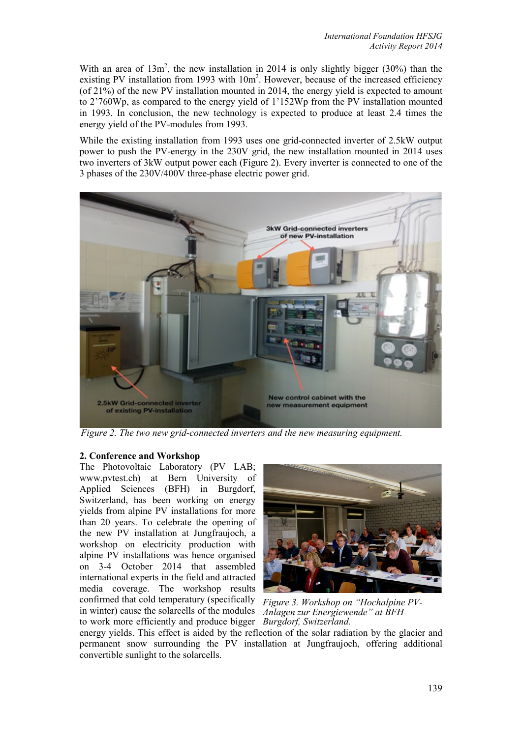With an area of  $13m^2$ , the new installation in 2014 is only slightly bigger (30%) than the existing PV installation from 1993 with  $10m^2$ . However, because of the increased efficiency (of 21%) of the new PV installation mounted in 2014, the energy yield is expected to amount to 2'760Wp, as compared to the energy yield of 1'152Wp from the PV installation mounted in 1993. In conclusion, the new technology is expected to produce at least 2.4 times the energy yield of the PV-modules from 1993.

While the existing installation from 1993 uses one grid-connected inverter of 2.5kW output power to push the PV-energy in the 230V grid, the new installation mounted in 2014 uses two inverters of 3kW output power each (Figure 2). Every inverter is connected to one of the 3 phases of the 230V/400V three-phase electric power grid.



*Figure 2. The two new grid-connected inverters and the new measuring equipment.*

# **2. Conference and Workshop**

The Photovoltaic Laboratory (PV LAB; www.pvtest.ch) at Bern University of Applied Sciences (BFH) in Burgdorf, Switzerland, has been working on energy yields from alpine PV installations for more than 20 years. To celebrate the opening of the new PV installation at Jungfraujoch, a workshop on electricity production with alpine PV installations was hence organised on 3-4 October 2014 that assembled international experts in the field and attracted media coverage. The workshop results confirmed that cold temperatury (specifically *Figure 3. Workshop on "Hochalpine PV*in winter) cause the solarcells of the modules *Anlagen zur Energiewende" at BFH*  to work more efficiently and produce bigger *Burgdorf, Switzerland.*



energy yields. This effect is aided by the reflection of the solar radiation by the glacier and permanent snow surrounding the PV installation at Jungfraujoch, offering additional convertible sunlight to the solarcells.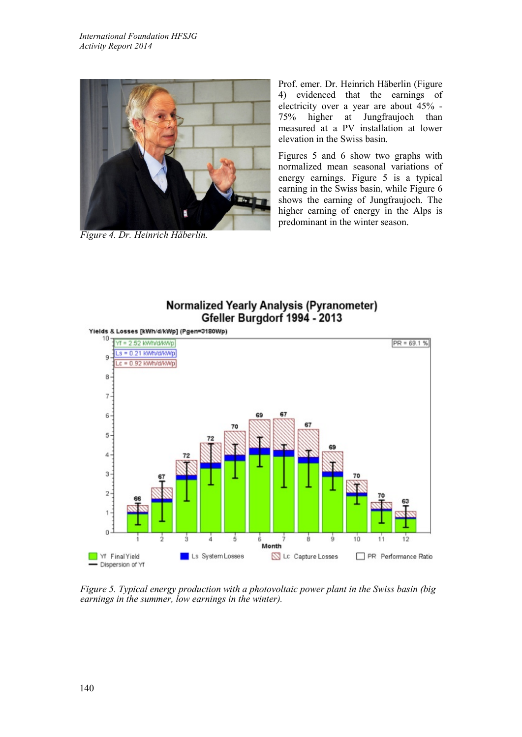

*Figure 4. Dr. Heinrich Häberlin.*

Prof. emer. Dr. Heinrich Häberlin (Figure 4) evidenced that the earnings of electricity over a year are about 45% - 75% higher at Jungfraujoch than measured at a PV installation at lower elevation in the Swiss basin.

Figures 5 and 6 show two graphs with normalized mean seasonal variations of energy earnings. Figure 5 is a typical earning in the Swiss basin, while Figure 6 shows the earning of Jungfraujoch. The higher earning of energy in the Alps is predominant in the winter season.

# **Normalized Yearly Analysis (Pyranometer)** Gfeller Burgdorf 1994 - 2013



*Figure 5. Typical energy production with a photovoltaic power plant in the Swiss basin (big earnings in the summer, low earnings in the winter).*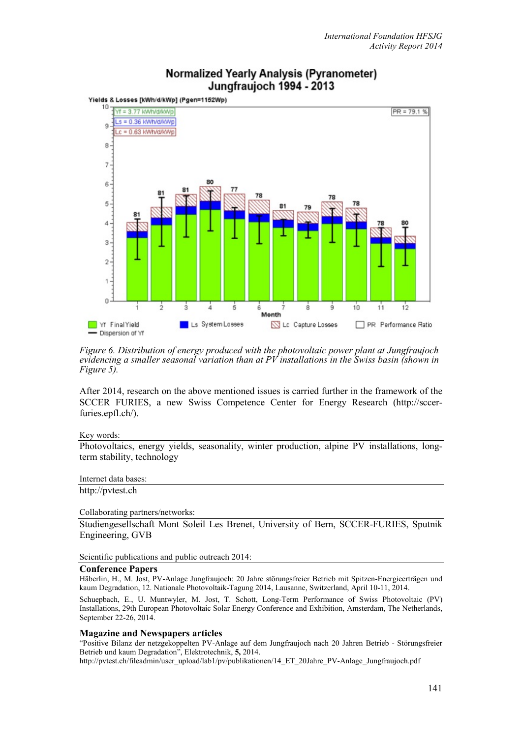

# **Normalized Yearly Analysis (Pyranometer)** Jungfraujoch 1994 - 2013

*Figure 6. Distribution of energy produced with the photovoltaic power plant at Jungfraujoch evidencing a smaller seasonal variation than at PV installations in the Swiss basin (shown in Figure 5).*

After 2014, research on the above mentioned issues is carried further in the framework of the SCCER FURIES, a new Swiss Competence Center for Energy Research (http://sccerfuries.epfl.ch/).

### Key words:

Photovoltaics, energy yields, seasonality, winter production, alpine PV installations, longterm stability, technology

## Internet data bases:

http://pvtest.ch

### Collaborating partners/networks:

Studiengesellschaft Mont Soleil Les Brenet, University of Bern, SCCER-FURIES, Sputnik Engineering, GVB

Scientific publications and public outreach 2014:

### **Conference Papers**

Häberlin, H., M. Jost, PV-Anlage Jungfraujoch: 20 Jahre störungsfreier Betrieb mit Spitzen-Energieerträgen und kaum Degradation, 12. Nationale Photovoltaik-Tagung 2014, Lausanne, Switzerland, April 10-11, 2014.

Schuepbach, E., U. Muntwyler, M. Jost, T. Schott, Long-Term Performance of Swiss Photovoltaic (PV) Installations, 29th European Photovoltaic Solar Energy Conference and Exhibition, Amsterdam, The Netherlands, September 22-26, 2014.

### **Magazine and Newspapers articles**

"Positive Bilanz der netzgekoppelten PV-Anlage auf dem Jungfraujoch nach 20 Jahren Betrieb - Störungsfreier Betrieb und kaum Degradation", Elektrotechnik, **5,** 2014.

http://pvtest.ch/fileadmin/user\_upload/lab1/pv/publikationen/14\_ET\_20Jahre\_PV-Anlage\_Jungfraujoch.pdf